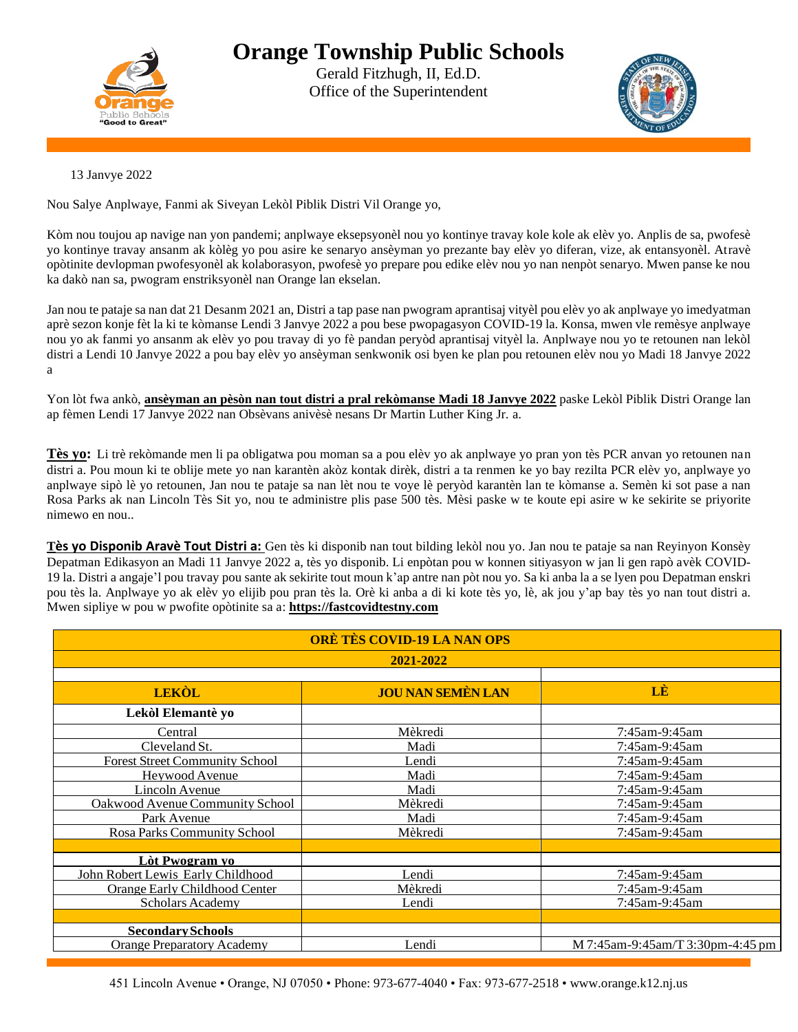

## **Orange Township Public Schools**

Gerald Fitzhugh, II, Ed.D. Office of the Superintendent



13 Janvye 2022

Nou Salye Anplwaye, Fanmi ak Siveyan Lekòl Piblik Distri Vil Orange yo,

Kòm nou toujou ap navige nan yon pandemi; anplwaye eksepsyonèl nou yo kontinye travay kole kole ak elèv yo. Anplis de sa, pwofesè yo kontinye travay ansanm ak kòlèg yo pou asire ke senaryo ansèyman yo prezante bay elèv yo diferan, vize, ak entansyonèl. Atravè opòtinite devlopman pwofesyonèl ak kolaborasyon, pwofesè yo prepare pou edike elèv nou yo nan nenpòt senaryo. Mwen panse ke nou ka dakò nan sa, pwogram enstriksyonèl nan Orange lan ekselan.

Jan nou te pataje sa nan dat 21 Desanm 2021 an, Distri a tap pase nan pwogram aprantisaj vityèl pou elèv yo ak anplwaye yo imedyatman aprè sezon konje fèt la ki te kòmanse Lendi 3 Janvye 2022 a pou bese pwopagasyon COVID-19 la. Konsa, mwen vle remèsye anplwaye nou yo ak fanmi yo ansanm ak elèv yo pou travay di yo fè pandan peryòd aprantisaj vityèl la. Anplwaye nou yo te retounen nan lekòl distri a Lendi 10 Janvye 2022 a pou bay elèv yo ansèyman senkwonik osi byen ke plan pou retounen elèv nou yo Madi 18 Janvye 2022 a

Yon lòt fwa ankò, **ansèyman an pèsòn nan tout distri a pral rekòmanse Madi 18 Janvye 2022** paske Lekòl Piblik Distri Orange lan ap fèmen Lendi 17 Janvye 2022 nan Obsèvans anivèsè nesans Dr Martin Luther King Jr. a.

**Tès yo:** Li trè rekòmande men li pa obligatwa pou moman sa a pou elèv yo ak anplwaye yo pran yon tès PCR anvan yo retounen nan distri a. Pou moun ki te oblije mete yo nan karantèn akòz kontak dirèk, distri a ta renmen ke yo bay rezilta PCR elèv yo, anplwaye yo anplwaye sipò lè yo retounen, Jan nou te pataje sa nan lèt nou te voye lè peryòd karantèn lan te kòmanse a. Semèn ki sot pase a nan Rosa Parks ak nan Lincoln Tès Sit yo, nou te administre plis pase 500 tès. Mèsi paske w te koute epi asire w ke sekirite se priyorite nimewo en nou..

**Tès yo Disponib Aravè Tout Distri a:** Gen tès ki disponib nan tout bilding lekòl nou yo. Jan nou te pataje sa nan Reyinyon Konsèy Depatman Edikasyon an Madi 11 Janvye 2022 a, tès yo disponib. Li enpòtan pou w konnen sitiyasyon w jan li gen rapò avèk COVID-19 la. Distri a angaje'l pou travay pou sante ak sekirite tout moun k'ap antre nan pòt nou yo. Sa ki anba la a se lyen pou Depatman enskri pou tès la. Anplwaye yo ak elèv yo elijib pou pran tès la. Orè ki anba a di ki kote tès yo, lè, ak jou y'ap bay tès yo nan tout distri a. Mwen sipliye w pou w pwofite opòtinite sa a: **[https://fastcovidtestny.com](https://fastcovidtestny.com/)**

| <b>ORÈ TÈS COVID-19 LA NAN OPS</b>    |                          |                                  |  |
|---------------------------------------|--------------------------|----------------------------------|--|
| 2021-2022                             |                          |                                  |  |
| <b>LEKÒL</b>                          | <b>JOU NAN SEMÈN LAN</b> | LÈ                               |  |
| Lekòl Elemantè yo                     |                          |                                  |  |
| Central                               | Mèkredi                  | 7:45am-9:45am                    |  |
| Cleveland St.                         | Madi                     | 7:45am-9:45am                    |  |
| <b>Forest Street Community School</b> | Lendi                    | 7:45am-9:45am                    |  |
| Heywood Avenue                        | Madi                     | 7:45am-9:45am                    |  |
| Lincoln Avenue                        | Madi                     | 7:45am-9:45am                    |  |
| Oakwood Avenue Community School       | Mèkredi                  | 7:45am-9:45am                    |  |
| Park Avenue                           | Madi                     | 7:45am-9:45am                    |  |
| Rosa Parks Community School           | Mèkredi                  | 7:45am-9:45am                    |  |
|                                       |                          |                                  |  |
| Lòt Pwogram yo                        |                          |                                  |  |
| John Robert Lewis Early Childhood     | Lendi                    | 7:45am-9:45am                    |  |
| <b>Orange Early Childhood Center</b>  | Mèkredi                  | 7:45am-9:45am                    |  |
| <b>Scholars Academy</b>               | Lendi                    | 7:45am-9:45am                    |  |
|                                       |                          |                                  |  |
| <b>Secondary Schools</b>              |                          |                                  |  |
| <b>Orange Preparatory Academy</b>     | Lendi                    | M 7:45am-9:45am/T 3:30pm-4:45 pm |  |